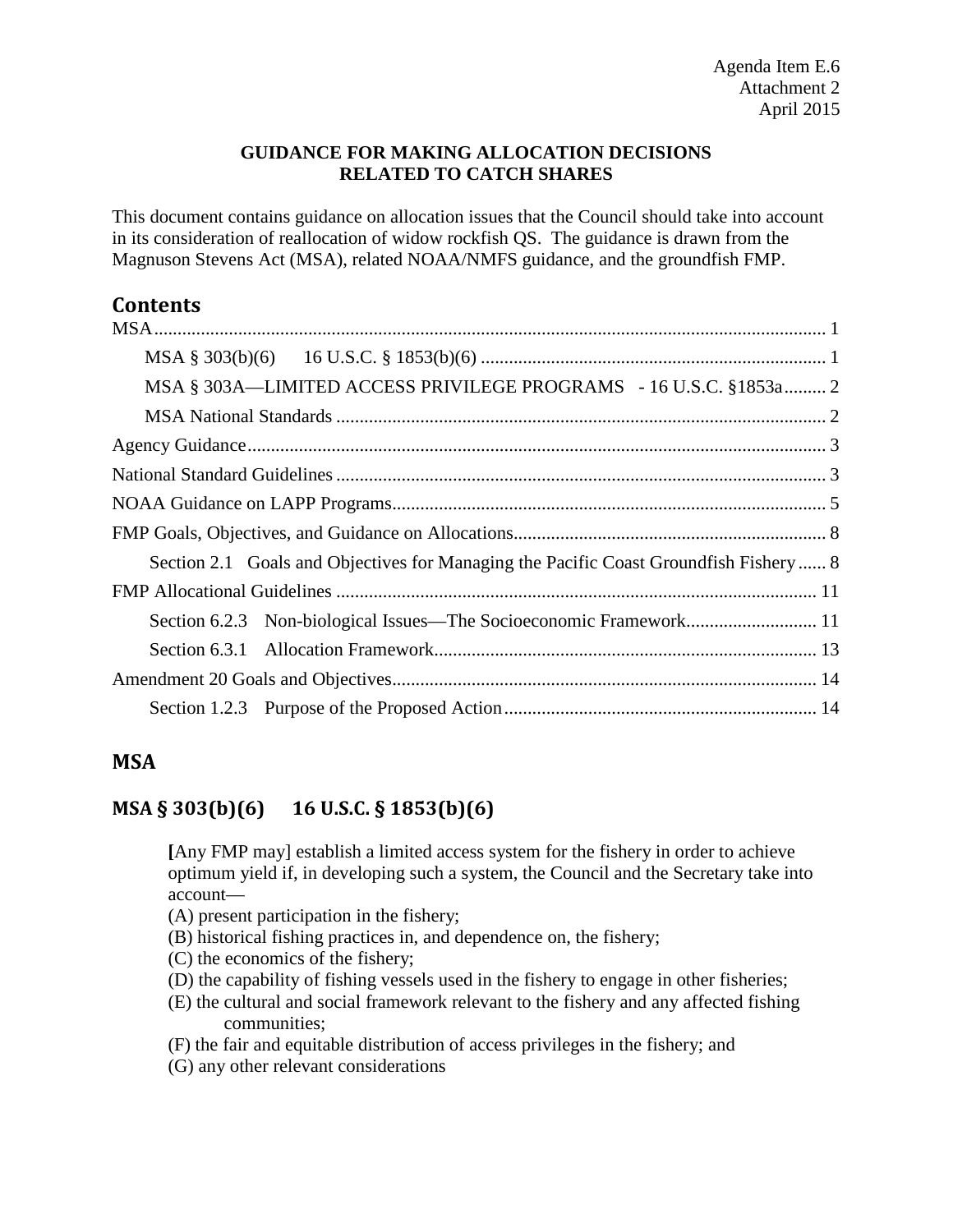### **GUIDANCE FOR MAKING ALLOCATION DECISIONS RELATED TO CATCH SHARES**

This document contains guidance on allocation issues that the Council should take into account in its consideration of reallocation of widow rockfish QS. The guidance is drawn from the Magnuson Stevens Act (MSA), related NOAA/NMFS guidance, and the groundfish FMP.

# **Contents**

## <span id="page-0-0"></span>**MSA**

## <span id="page-0-1"></span>**MSA § 303(b)(6) 16 U.S.C. § 1853(b)(6)**

**[**Any FMP may] establish a limited access system for the fishery in order to achieve optimum yield if, in developing such a system, the Council and the Secretary take into account—

(A) present participation in the fishery;

- (B) historical fishing practices in, and dependence on, the fishery;
- (C) the economics of the fishery;
- (D) the capability of fishing vessels used in the fishery to engage in other fisheries;
- (E) the cultural and social framework relevant to the fishery and any affected fishing communities;
- (F) the fair and equitable distribution of access privileges in the fishery; and
- (G) any other relevant considerations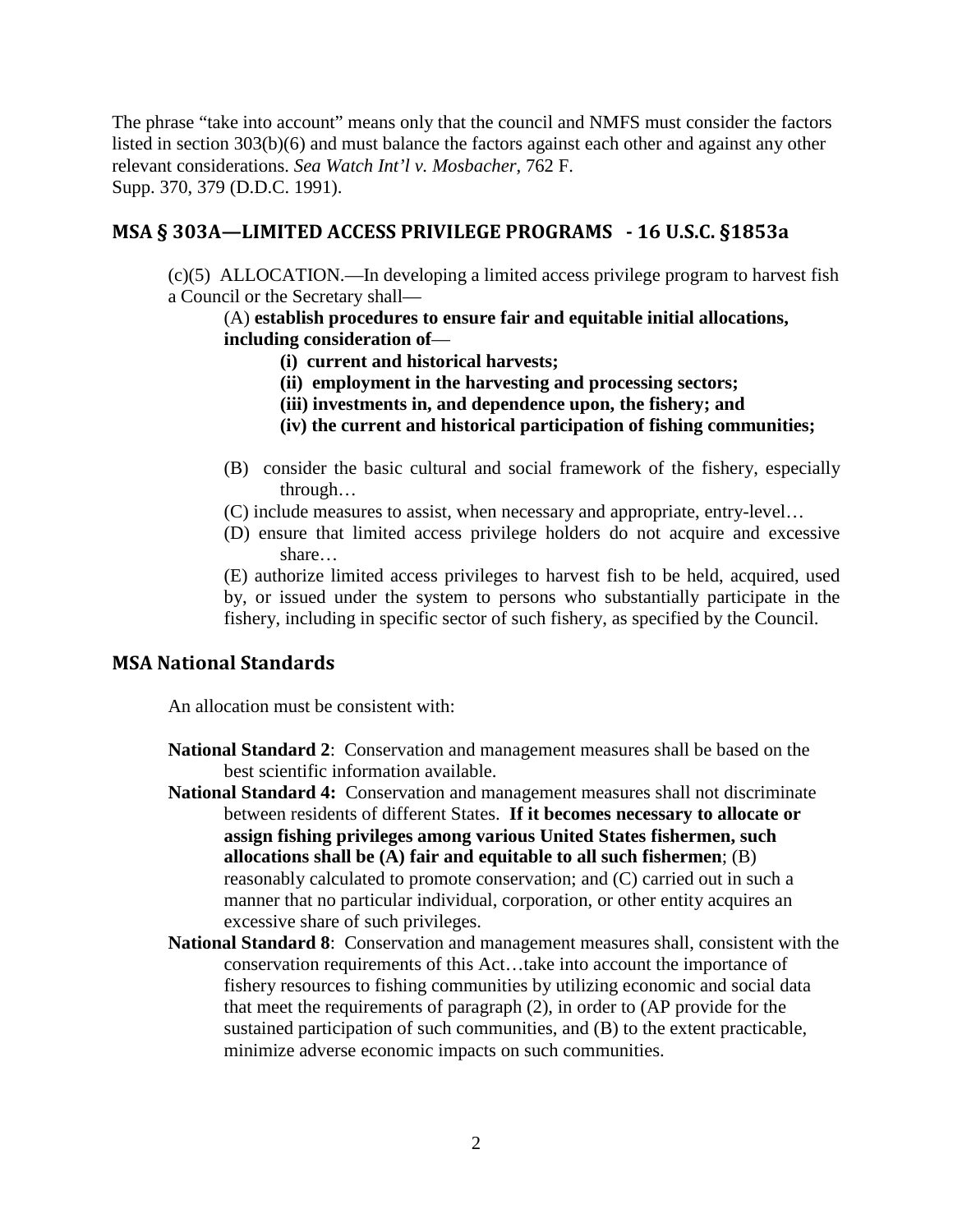The phrase "take into account" means only that the council and NMFS must consider the factors listed in section 303(b)(6) and must balance the factors against each other and against any other relevant considerations. *Sea Watch Int'l v. Mosbacher*, 762 F. Supp. 370, 379 (D.D.C. 1991).

### <span id="page-1-0"></span>**MSA § 303A—LIMITED ACCESS PRIVILEGE PROGRAMS - 16 U.S.C. §1853a**

(c)(5) ALLOCATION.—In developing a limited access privilege program to harvest fish a Council or the Secretary shall—

### (A) **establish procedures to ensure fair and equitable initial allocations, including consideration of**—

- **(i) current and historical harvests;**
- **(ii) employment in the harvesting and processing sectors;**
- **(iii) investments in, and dependence upon, the fishery; and**
- **(iv) the current and historical participation of fishing communities;**
- (B) consider the basic cultural and social framework of the fishery, especially through…
- (C) include measures to assist, when necessary and appropriate, entry-level…
- (D) ensure that limited access privilege holders do not acquire and excessive share…

(E) authorize limited access privileges to harvest fish to be held, acquired, used by, or issued under the system to persons who substantially participate in the fishery, including in specific sector of such fishery, as specified by the Council.

### <span id="page-1-1"></span>**MSA National Standards**

An allocation must be consistent with:

- **National Standard 2**: Conservation and management measures shall be based on the best scientific information available.
- **National Standard 4:** Conservation and management measures shall not discriminate between residents of different States. **If it becomes necessary to allocate or assign fishing privileges among various United States fishermen, such allocations shall be (A) fair and equitable to all such fishermen**; (B) reasonably calculated to promote conservation; and (C) carried out in such a manner that no particular individual, corporation, or other entity acquires an excessive share of such privileges.
- **National Standard 8**: Conservation and management measures shall, consistent with the conservation requirements of this Act…take into account the importance of fishery resources to fishing communities by utilizing economic and social data that meet the requirements of paragraph (2), in order to (AP provide for the sustained participation of such communities, and (B) to the extent practicable, minimize adverse economic impacts on such communities.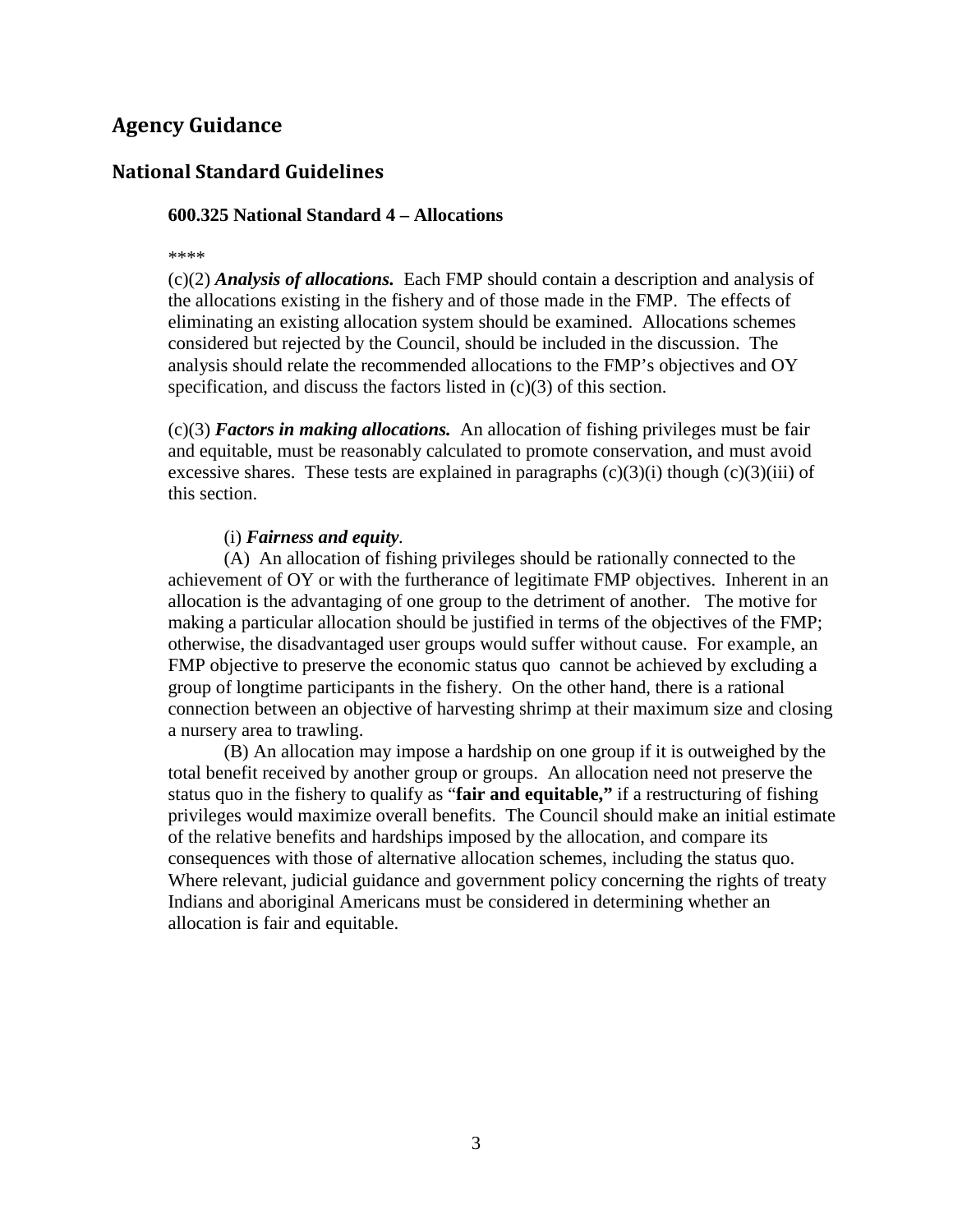## <span id="page-2-0"></span>**Agency Guidance**

### <span id="page-2-1"></span>**National Standard Guidelines**

#### **600.325 National Standard 4 – Allocations**

\*\*\*\*

(c)(2) *Analysis of allocations.* Each FMP should contain a description and analysis of the allocations existing in the fishery and of those made in the FMP. The effects of eliminating an existing allocation system should be examined. Allocations schemes considered but rejected by the Council, should be included in the discussion. The analysis should relate the recommended allocations to the FMP's objectives and OY specification, and discuss the factors listed in (c)(3) of this section.

 $(c)(3)$  *Factors in making allocations.* An allocation of fishing privileges must be fair and equitable, must be reasonably calculated to promote conservation, and must avoid excessive shares. These tests are explained in paragraphs  $(c)(3)(i)$  though  $(c)(3)(iii)$  of this section.

#### (i) *Fairness and equity.*

(A) An allocation of fishing privileges should be rationally connected to the achievement of OY or with the furtherance of legitimate FMP objectives. Inherent in an allocation is the advantaging of one group to the detriment of another. The motive for making a particular allocation should be justified in terms of the objectives of the FMP; otherwise, the disadvantaged user groups would suffer without cause. For example, an FMP objective to preserve the economic status quo cannot be achieved by excluding a group of longtime participants in the fishery. On the other hand, there is a rational connection between an objective of harvesting shrimp at their maximum size and closing a nursery area to trawling.

(B) An allocation may impose a hardship on one group if it is outweighed by the total benefit received by another group or groups. An allocation need not preserve the status quo in the fishery to qualify as "**fair and equitable,"** if a restructuring of fishing privileges would maximize overall benefits. The Council should make an initial estimate of the relative benefits and hardships imposed by the allocation, and compare its consequences with those of alternative allocation schemes, including the status quo. Where relevant, judicial guidance and government policy concerning the rights of treaty Indians and aboriginal Americans must be considered in determining whether an allocation is fair and equitable.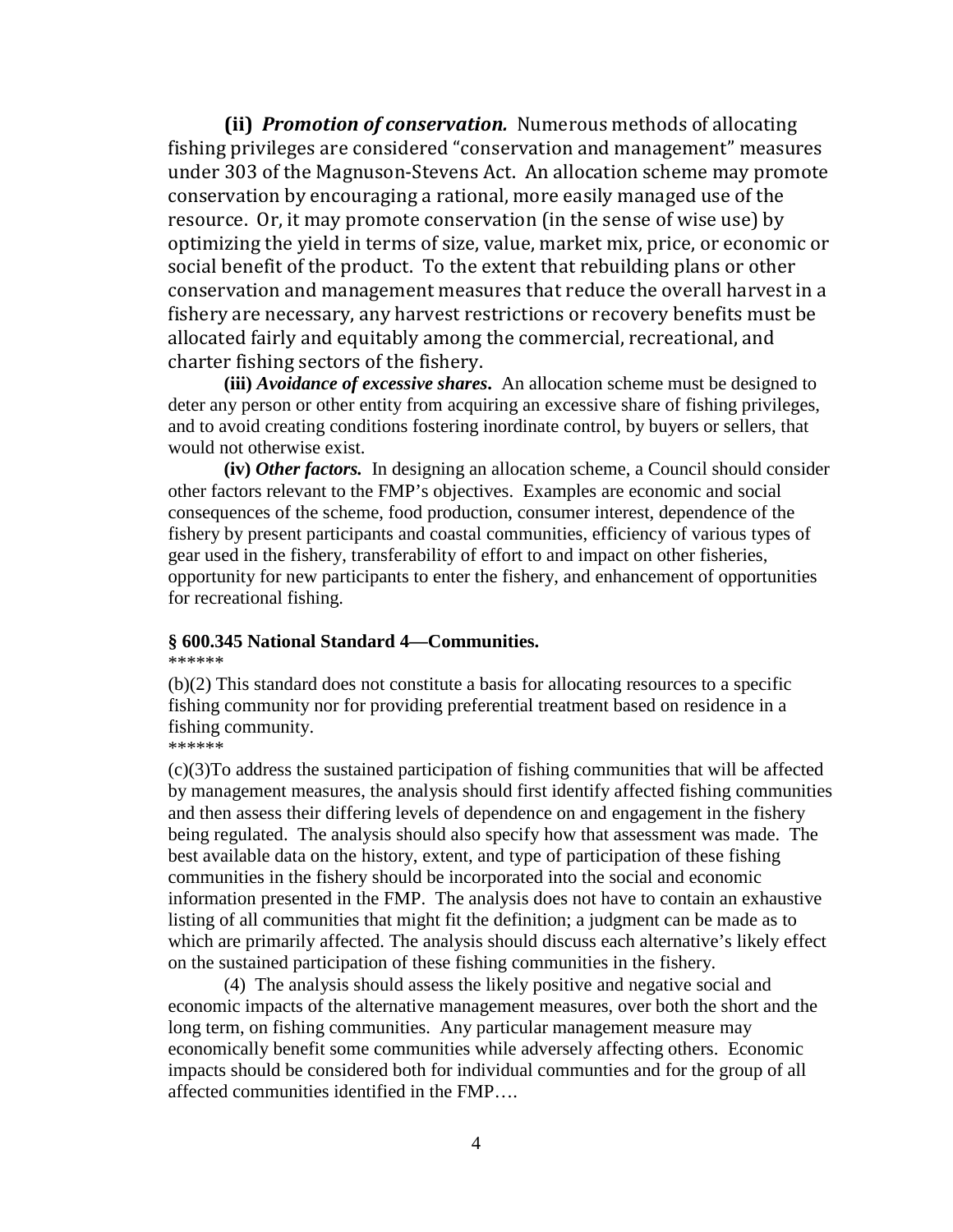**(ii)** *Promotion of conservation.* Numerous methods of allocating fishing privileges are considered "conservation and management" measures under 303 of the Magnuson-Stevens Act. An allocation scheme may promote conservation by encouraging a rational, more easily managed use of the resource. Or, it may promote conservation (in the sense of wise use) by optimizing the yield in terms of size, value, market mix, price, or economic or social benefit of the product. To the extent that rebuilding plans or other conservation and management measures that reduce the overall harvest in a fishery are necessary, any harvest restrictions or recovery benefits must be allocated fairly and equitably among the commercial, recreational, and charter fishing sectors of the fishery.

**(iii)** *Avoidance of excessive shares***.** An allocation scheme must be designed to deter any person or other entity from acquiring an excessive share of fishing privileges, and to avoid creating conditions fostering inordinate control, by buyers or sellers, that would not otherwise exist.

**(iv)** *Other factors.* In designing an allocation scheme, a Council should consider other factors relevant to the FMP's objectives. Examples are economic and social consequences of the scheme, food production, consumer interest, dependence of the fishery by present participants and coastal communities, efficiency of various types of gear used in the fishery, transferability of effort to and impact on other fisheries, opportunity for new participants to enter the fishery, and enhancement of opportunities for recreational fishing.

#### **§ 600.345 National Standard 4—Communities.**

\*\*\*\*\*\*

(b)(2) This standard does not constitute a basis for allocating resources to a specific fishing community nor for providing preferential treatment based on residence in a fishing community.

#### \*\*\*\*\*\*

(c)(3)To address the sustained participation of fishing communities that will be affected by management measures, the analysis should first identify affected fishing communities and then assess their differing levels of dependence on and engagement in the fishery being regulated. The analysis should also specify how that assessment was made. The best available data on the history, extent, and type of participation of these fishing communities in the fishery should be incorporated into the social and economic information presented in the FMP. The analysis does not have to contain an exhaustive listing of all communities that might fit the definition; a judgment can be made as to which are primarily affected. The analysis should discuss each alternative's likely effect on the sustained participation of these fishing communities in the fishery.

(4) The analysis should assess the likely positive and negative social and economic impacts of the alternative management measures, over both the short and the long term, on fishing communities. Any particular management measure may economically benefit some communities while adversely affecting others. Economic impacts should be considered both for individual communties and for the group of all affected communities identified in the FMP….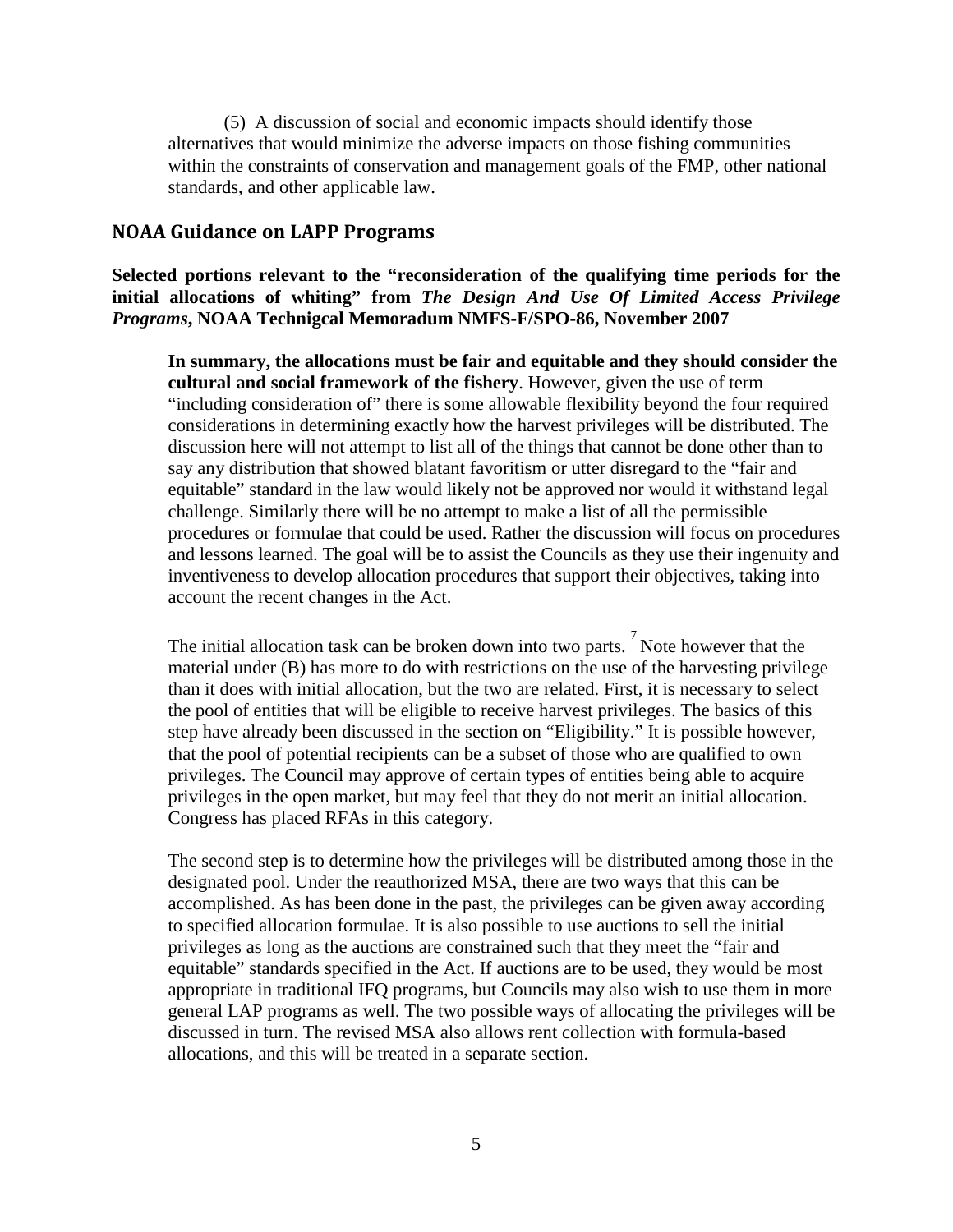(5) A discussion of social and economic impacts should identify those alternatives that would minimize the adverse impacts on those fishing communities within the constraints of conservation and management goals of the FMP, other national standards, and other applicable law.

#### <span id="page-4-0"></span>**NOAA Guidance on LAPP Programs**

**Selected portions relevant to the "reconsideration of the qualifying time periods for the initial allocations of whiting" from** *The Design And Use Of Limited Access Privilege Programs***, NOAA Technigcal Memoradum NMFS-F/SPO-86, November 2007**

**In summary, the allocations must be fair and equitable and they should consider the cultural and social framework of the fishery**. However, given the use of term "including consideration of" there is some allowable flexibility beyond the four required considerations in determining exactly how the harvest privileges will be distributed. The discussion here will not attempt to list all of the things that cannot be done other than to say any distribution that showed blatant favoritism or utter disregard to the "fair and equitable" standard in the law would likely not be approved nor would it withstand legal challenge. Similarly there will be no attempt to make a list of all the permissible procedures or formulae that could be used. Rather the discussion will focus on procedures and lessons learned. The goal will be to assist the Councils as they use their ingenuity and inventiveness to develop allocation procedures that support their objectives, taking into account the recent changes in the Act.

The initial allocation task can be broken down into two parts.  $\int^7$  Note however that the material under (B) has more to do with restrictions on the use of the harvesting privilege than it does with initial allocation, but the two are related. First, it is necessary to select the pool of entities that will be eligible to receive harvest privileges. The basics of this step have already been discussed in the section on "Eligibility." It is possible however, that the pool of potential recipients can be a subset of those who are qualified to own privileges. The Council may approve of certain types of entities being able to acquire privileges in the open market, but may feel that they do not merit an initial allocation. Congress has placed RFAs in this category.

The second step is to determine how the privileges will be distributed among those in the designated pool. Under the reauthorized MSA, there are two ways that this can be accomplished. As has been done in the past, the privileges can be given away according to specified allocation formulae. It is also possible to use auctions to sell the initial privileges as long as the auctions are constrained such that they meet the "fair and equitable" standards specified in the Act. If auctions are to be used, they would be most appropriate in traditional IFQ programs, but Councils may also wish to use them in more general LAP programs as well. The two possible ways of allocating the privileges will be discussed in turn. The revised MSA also allows rent collection with formula-based allocations, and this will be treated in a separate section.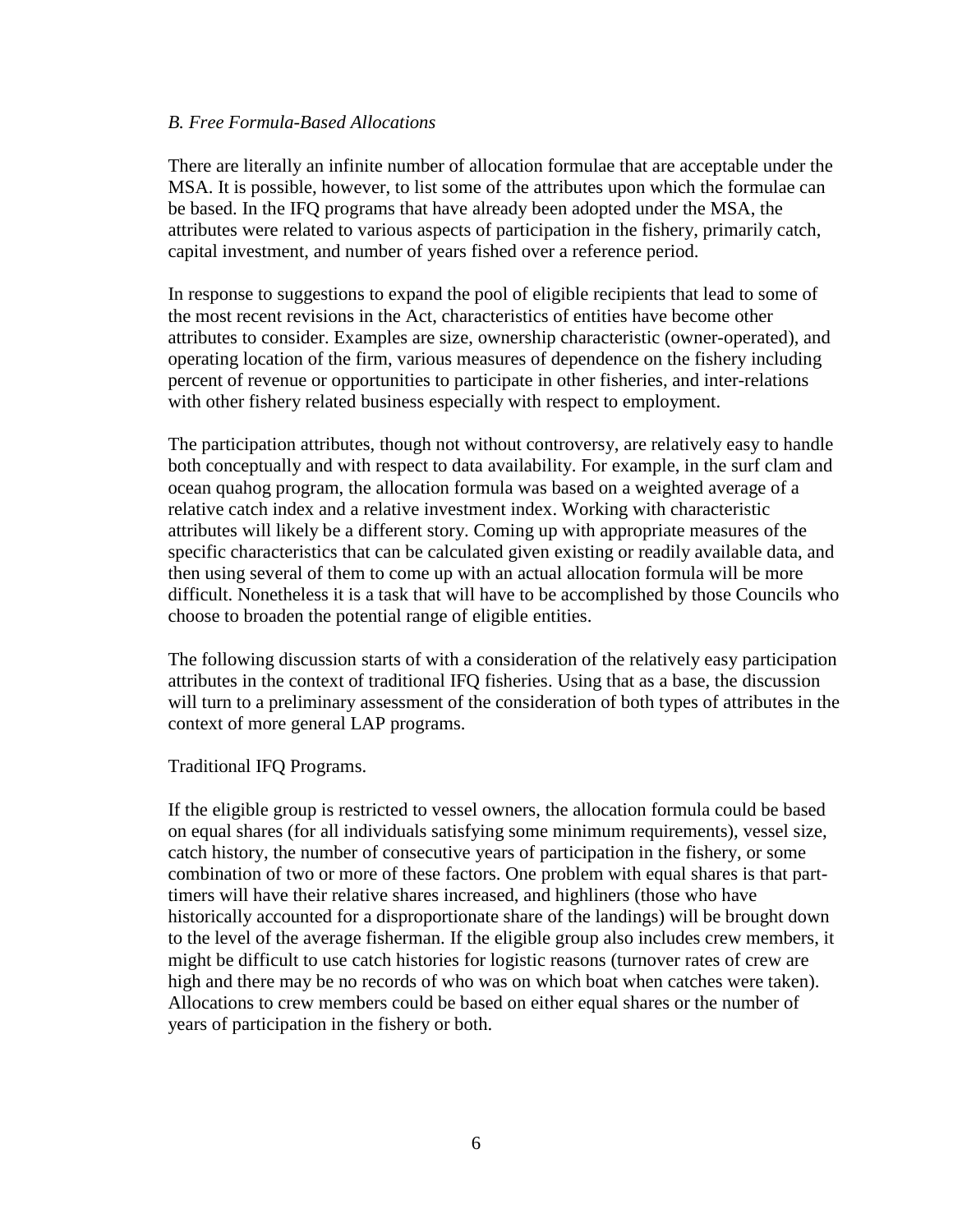#### *B. Free Formula-Based Allocations*

There are literally an infinite number of allocation formulae that are acceptable under the MSA. It is possible, however, to list some of the attributes upon which the formulae can be based. In the IFQ programs that have already been adopted under the MSA, the attributes were related to various aspects of participation in the fishery, primarily catch, capital investment, and number of years fished over a reference period.

In response to suggestions to expand the pool of eligible recipients that lead to some of the most recent revisions in the Act, characteristics of entities have become other attributes to consider. Examples are size, ownership characteristic (owner-operated), and operating location of the firm, various measures of dependence on the fishery including percent of revenue or opportunities to participate in other fisheries, and inter-relations with other fishery related business especially with respect to employment.

The participation attributes, though not without controversy, are relatively easy to handle both conceptually and with respect to data availability. For example, in the surf clam and ocean quahog program, the allocation formula was based on a weighted average of a relative catch index and a relative investment index. Working with characteristic attributes will likely be a different story. Coming up with appropriate measures of the specific characteristics that can be calculated given existing or readily available data, and then using several of them to come up with an actual allocation formula will be more difficult. Nonetheless it is a task that will have to be accomplished by those Councils who choose to broaden the potential range of eligible entities.

The following discussion starts of with a consideration of the relatively easy participation attributes in the context of traditional IFQ fisheries. Using that as a base, the discussion will turn to a preliminary assessment of the consideration of both types of attributes in the context of more general LAP programs.

Traditional IFQ Programs.

If the eligible group is restricted to vessel owners, the allocation formula could be based on equal shares (for all individuals satisfying some minimum requirements), vessel size, catch history, the number of consecutive years of participation in the fishery, or some combination of two or more of these factors. One problem with equal shares is that parttimers will have their relative shares increased, and highliners (those who have historically accounted for a disproportionate share of the landings) will be brought down to the level of the average fisherman. If the eligible group also includes crew members, it might be difficult to use catch histories for logistic reasons (turnover rates of crew are high and there may be no records of who was on which boat when catches were taken). Allocations to crew members could be based on either equal shares or the number of years of participation in the fishery or both.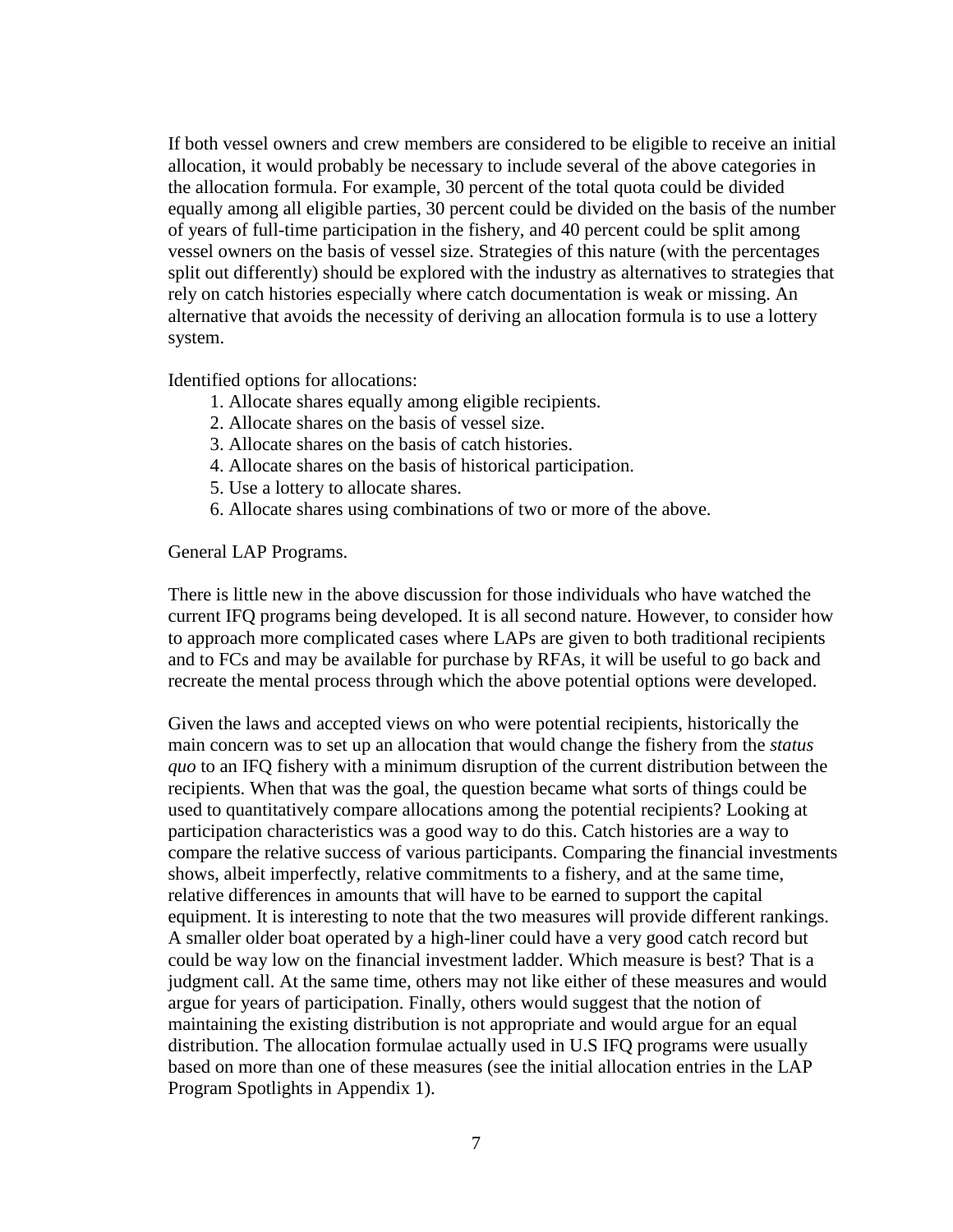If both vessel owners and crew members are considered to be eligible to receive an initial allocation, it would probably be necessary to include several of the above categories in the allocation formula. For example, 30 percent of the total quota could be divided equally among all eligible parties, 30 percent could be divided on the basis of the number of years of full-time participation in the fishery, and 40 percent could be split among vessel owners on the basis of vessel size. Strategies of this nature (with the percentages split out differently) should be explored with the industry as alternatives to strategies that rely on catch histories especially where catch documentation is weak or missing. An alternative that avoids the necessity of deriving an allocation formula is to use a lottery system.

Identified options for allocations:

- 1. Allocate shares equally among eligible recipients.
- 2. Allocate shares on the basis of vessel size.
- 3. Allocate shares on the basis of catch histories.
- 4. Allocate shares on the basis of historical participation.
- 5. Use a lottery to allocate shares.
- 6. Allocate shares using combinations of two or more of the above.

General LAP Programs.

There is little new in the above discussion for those individuals who have watched the current IFQ programs being developed. It is all second nature. However, to consider how to approach more complicated cases where LAPs are given to both traditional recipients and to FCs and may be available for purchase by RFAs, it will be useful to go back and recreate the mental process through which the above potential options were developed.

Given the laws and accepted views on who were potential recipients, historically the main concern was to set up an allocation that would change the fishery from the *status quo* to an IFQ fishery with a minimum disruption of the current distribution between the recipients. When that was the goal, the question became what sorts of things could be used to quantitatively compare allocations among the potential recipients? Looking at participation characteristics was a good way to do this. Catch histories are a way to compare the relative success of various participants. Comparing the financial investments shows, albeit imperfectly, relative commitments to a fishery, and at the same time, relative differences in amounts that will have to be earned to support the capital equipment. It is interesting to note that the two measures will provide different rankings. A smaller older boat operated by a high-liner could have a very good catch record but could be way low on the financial investment ladder. Which measure is best? That is a judgment call. At the same time, others may not like either of these measures and would argue for years of participation. Finally, others would suggest that the notion of maintaining the existing distribution is not appropriate and would argue for an equal distribution. The allocation formulae actually used in U.S IFQ programs were usually based on more than one of these measures (see the initial allocation entries in the LAP Program Spotlights in Appendix 1).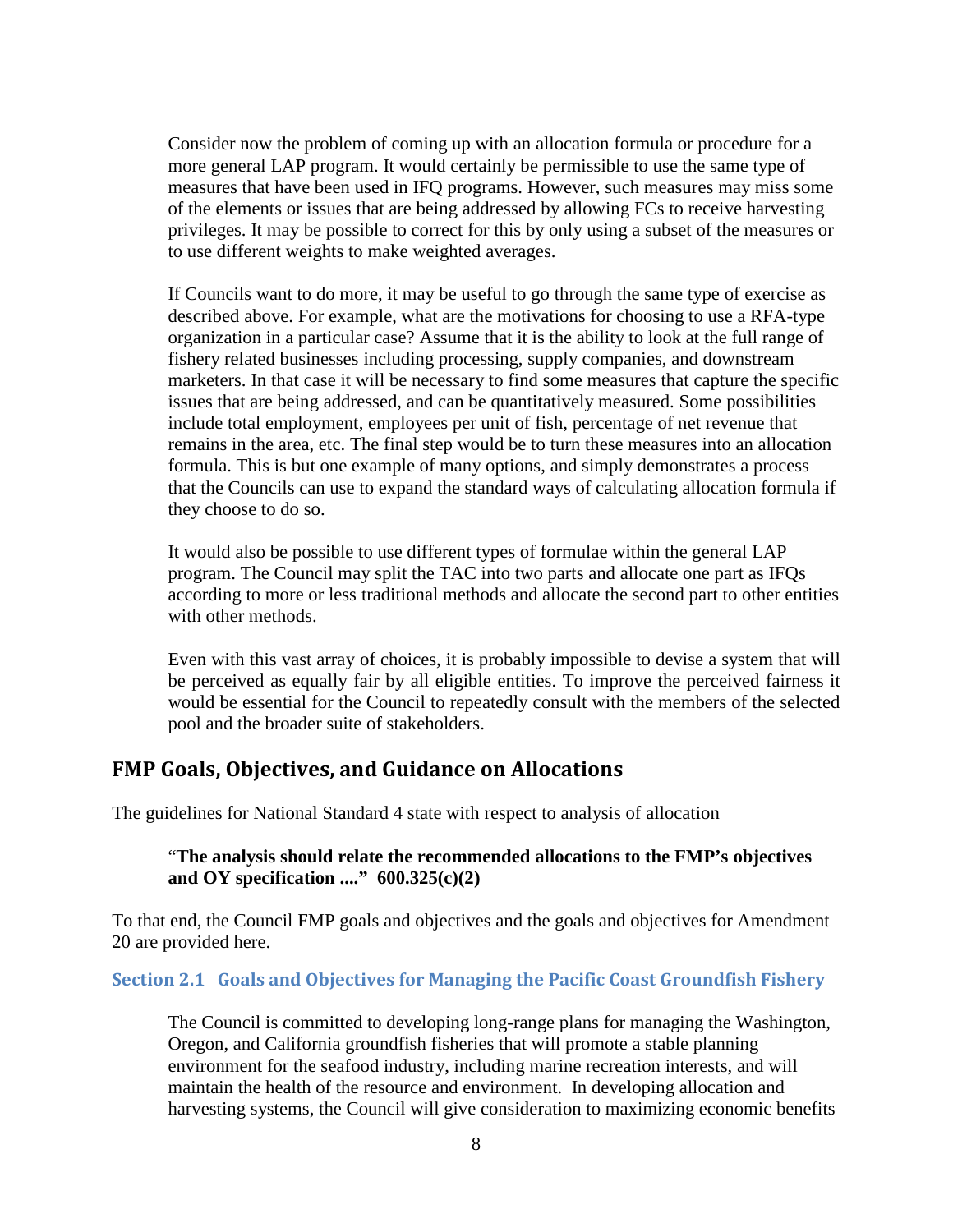Consider now the problem of coming up with an allocation formula or procedure for a more general LAP program. It would certainly be permissible to use the same type of measures that have been used in IFQ programs. However, such measures may miss some of the elements or issues that are being addressed by allowing FCs to receive harvesting privileges. It may be possible to correct for this by only using a subset of the measures or to use different weights to make weighted averages.

If Councils want to do more, it may be useful to go through the same type of exercise as described above. For example, what are the motivations for choosing to use a RFA-type organization in a particular case? Assume that it is the ability to look at the full range of fishery related businesses including processing, supply companies, and downstream marketers. In that case it will be necessary to find some measures that capture the specific issues that are being addressed, and can be quantitatively measured. Some possibilities include total employment, employees per unit of fish, percentage of net revenue that remains in the area, etc. The final step would be to turn these measures into an allocation formula. This is but one example of many options, and simply demonstrates a process that the Councils can use to expand the standard ways of calculating allocation formula if they choose to do so.

It would also be possible to use different types of formulae within the general LAP program. The Council may split the TAC into two parts and allocate one part as IFQs according to more or less traditional methods and allocate the second part to other entities with other methods.

Even with this vast array of choices, it is probably impossible to devise a system that will be perceived as equally fair by all eligible entities. To improve the perceived fairness it would be essential for the Council to repeatedly consult with the members of the selected pool and the broader suite of stakeholders.

## <span id="page-7-0"></span>**FMP Goals, Objectives, and Guidance on Allocations**

The guidelines for National Standard 4 state with respect to analysis of allocation

### "**The analysis should relate the recommended allocations to the FMP's objectives and OY specification ...." 600.325(c)(2)**

To that end, the Council FMP goals and objectives and the goals and objectives for Amendment 20 are provided here.

#### <span id="page-7-1"></span>**Section 2.1 Goals and Objectives for Managing the Pacific Coast Groundfish Fishery**

The Council is committed to developing long-range plans for managing the Washington, Oregon, and California groundfish fisheries that will promote a stable planning environment for the seafood industry, including marine recreation interests, and will maintain the health of the resource and environment. In developing allocation and harvesting systems, the Council will give consideration to maximizing economic benefits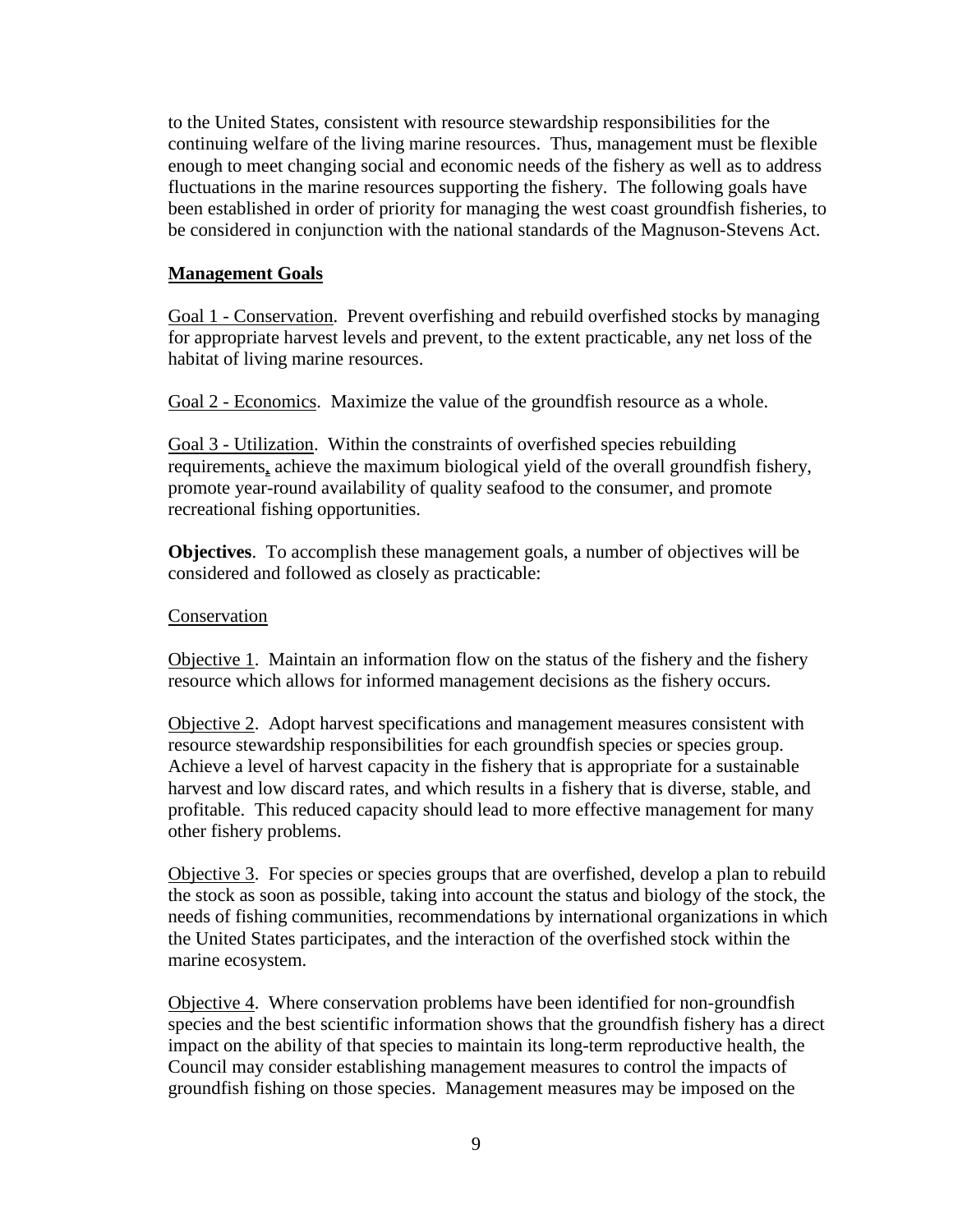to the United States, consistent with resource stewardship responsibilities for the continuing welfare of the living marine resources. Thus, management must be flexible enough to meet changing social and economic needs of the fishery as well as to address fluctuations in the marine resources supporting the fishery. The following goals have been established in order of priority for managing the west coast groundfish fisheries, to be considered in conjunction with the national standards of the Magnuson-Stevens Act.

### **Management Goals**

Goal 1 - Conservation. Prevent overfishing and rebuild overfished stocks by managing for appropriate harvest levels and prevent, to the extent practicable, any net loss of the habitat of living marine resources.

Goal 2 - Economics. Maximize the value of the groundfish resource as a whole.

Goal 3 - Utilization. Within the constraints of overfished species rebuilding requirements, achieve the maximum biological yield of the overall groundfish fishery, promote year-round availability of quality seafood to the consumer, and promote recreational fishing opportunities.

**Objectives**. To accomplish these management goals, a number of objectives will be considered and followed as closely as practicable:

#### Conservation

Objective 1. Maintain an information flow on the status of the fishery and the fishery resource which allows for informed management decisions as the fishery occurs.

Objective 2. Adopt harvest specifications and management measures consistent with resource stewardship responsibilities for each groundfish species or species group. Achieve a level of harvest capacity in the fishery that is appropriate for a sustainable harvest and low discard rates, and which results in a fishery that is diverse, stable, and profitable. This reduced capacity should lead to more effective management for many other fishery problems.

Objective 3. For species or species groups that are overfished, develop a plan to rebuild the stock as soon as possible, taking into account the status and biology of the stock, the needs of fishing communities, recommendations by international organizations in which the United States participates, and the interaction of the overfished stock within the marine ecosystem.

Objective 4. Where conservation problems have been identified for non-groundfish species and the best scientific information shows that the groundfish fishery has a direct impact on the ability of that species to maintain its long-term reproductive health, the Council may consider establishing management measures to control the impacts of groundfish fishing on those species. Management measures may be imposed on the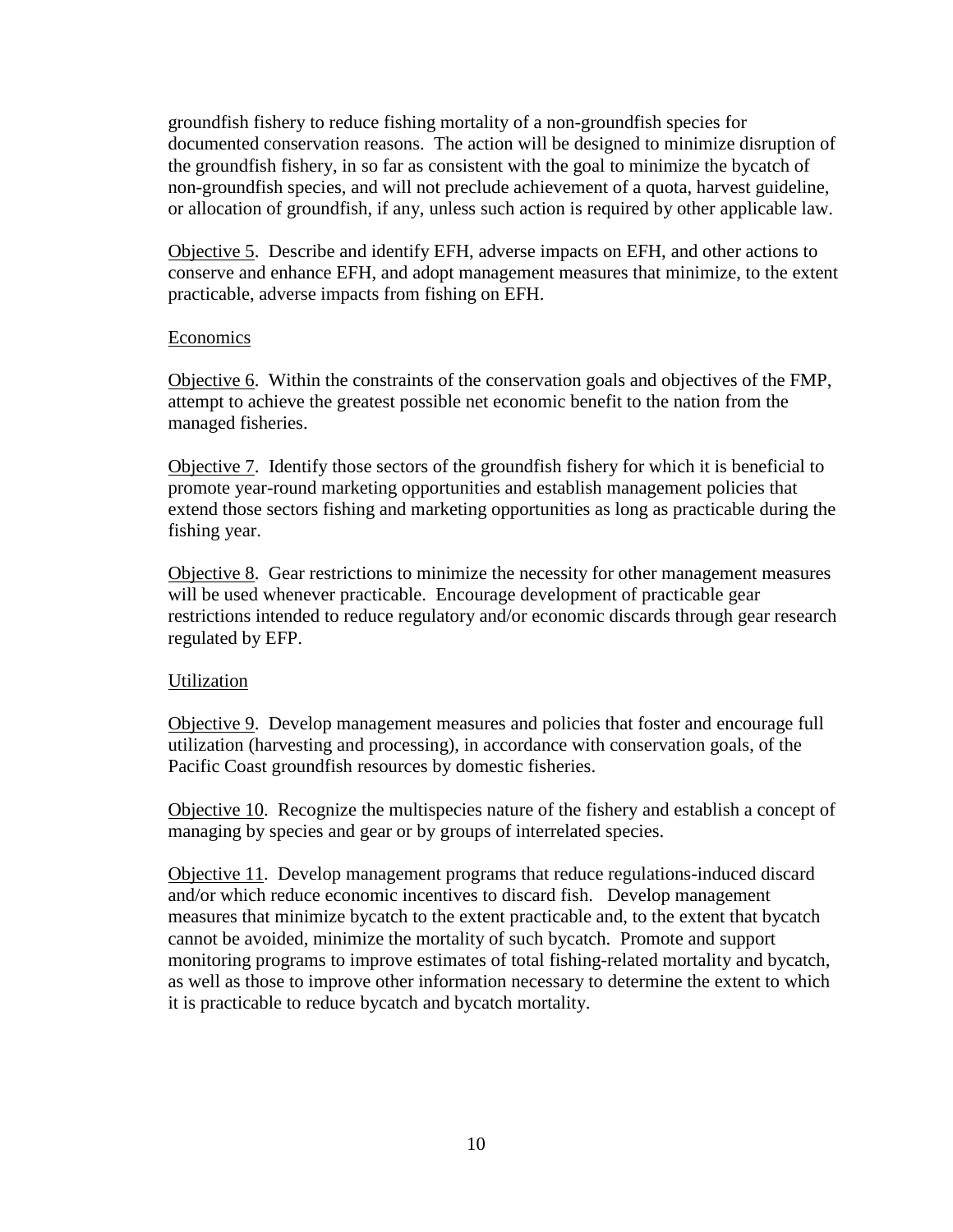groundfish fishery to reduce fishing mortality of a non-groundfish species for documented conservation reasons. The action will be designed to minimize disruption of the groundfish fishery, in so far as consistent with the goal to minimize the bycatch of non-groundfish species, and will not preclude achievement of a quota, harvest guideline, or allocation of groundfish, if any, unless such action is required by other applicable law.

Objective 5. Describe and identify EFH, adverse impacts on EFH, and other actions to conserve and enhance EFH, and adopt management measures that minimize, to the extent practicable, adverse impacts from fishing on EFH.

#### Economics

Objective 6. Within the constraints of the conservation goals and objectives of the FMP, attempt to achieve the greatest possible net economic benefit to the nation from the managed fisheries.

Objective 7. Identify those sectors of the groundfish fishery for which it is beneficial to promote year-round marketing opportunities and establish management policies that extend those sectors fishing and marketing opportunities as long as practicable during the fishing year.

Objective 8. Gear restrictions to minimize the necessity for other management measures will be used whenever practicable. Encourage development of practicable gear restrictions intended to reduce regulatory and/or economic discards through gear research regulated by EFP.

#### Utilization

Objective 9. Develop management measures and policies that foster and encourage full utilization (harvesting and processing), in accordance with conservation goals, of the Pacific Coast groundfish resources by domestic fisheries.

Objective 10. Recognize the multispecies nature of the fishery and establish a concept of managing by species and gear or by groups of interrelated species.

Objective 11. Develop management programs that reduce regulations-induced discard and/or which reduce economic incentives to discard fish. Develop management measures that minimize bycatch to the extent practicable and, to the extent that bycatch cannot be avoided, minimize the mortality of such bycatch. Promote and support monitoring programs to improve estimates of total fishing-related mortality and bycatch, as well as those to improve other information necessary to determine the extent to which it is practicable to reduce bycatch and bycatch mortality.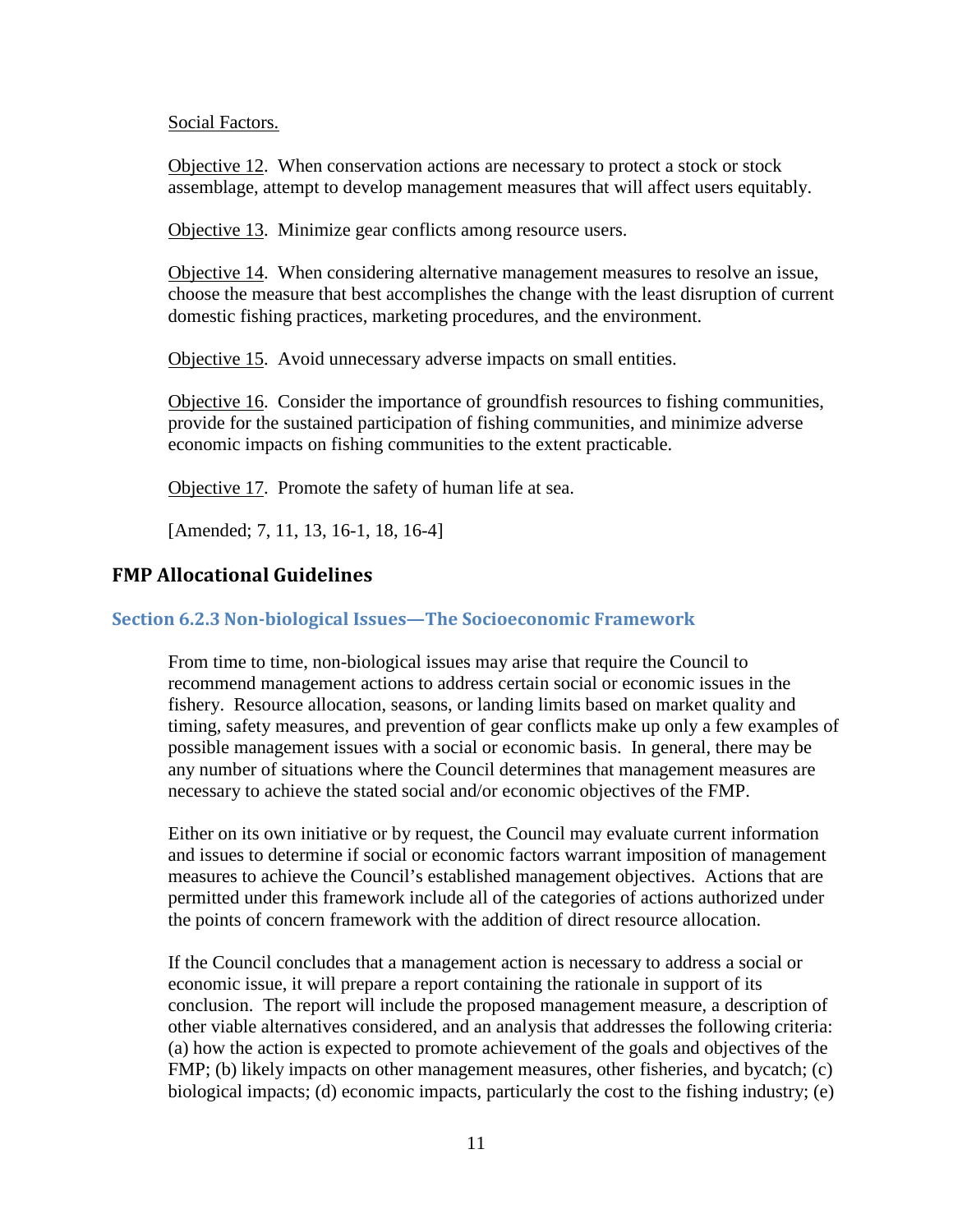Social Factors.

Objective 12. When conservation actions are necessary to protect a stock or stock assemblage, attempt to develop management measures that will affect users equitably.

Objective 13. Minimize gear conflicts among resource users.

Objective 14. When considering alternative management measures to resolve an issue, choose the measure that best accomplishes the change with the least disruption of current domestic fishing practices, marketing procedures, and the environment.

Objective 15. Avoid unnecessary adverse impacts on small entities.

Objective 16. Consider the importance of groundfish resources to fishing communities, provide for the sustained participation of fishing communities, and minimize adverse economic impacts on fishing communities to the extent practicable.

Objective 17. Promote the safety of human life at sea.

[Amended; 7, 11, 13, 16-1, 18, 16-4]

### <span id="page-10-0"></span>**FMP Allocational Guidelines**

#### <span id="page-10-1"></span>**Section 6.2.3 Non-biological Issues—The Socioeconomic Framework**

From time to time, non-biological issues may arise that require the Council to recommend management actions to address certain social or economic issues in the fishery. Resource allocation, seasons, or landing limits based on market quality and timing, safety measures, and prevention of gear conflicts make up only a few examples of possible management issues with a social or economic basis. In general, there may be any number of situations where the Council determines that management measures are necessary to achieve the stated social and/or economic objectives of the FMP.

Either on its own initiative or by request, the Council may evaluate current information and issues to determine if social or economic factors warrant imposition of management measures to achieve the Council's established management objectives. Actions that are permitted under this framework include all of the categories of actions authorized under the points of concern framework with the addition of direct resource allocation.

If the Council concludes that a management action is necessary to address a social or economic issue, it will prepare a report containing the rationale in support of its conclusion. The report will include the proposed management measure, a description of other viable alternatives considered, and an analysis that addresses the following criteria: (a) how the action is expected to promote achievement of the goals and objectives of the FMP; (b) likely impacts on other management measures, other fisheries, and bycatch; (c) biological impacts; (d) economic impacts, particularly the cost to the fishing industry; (e)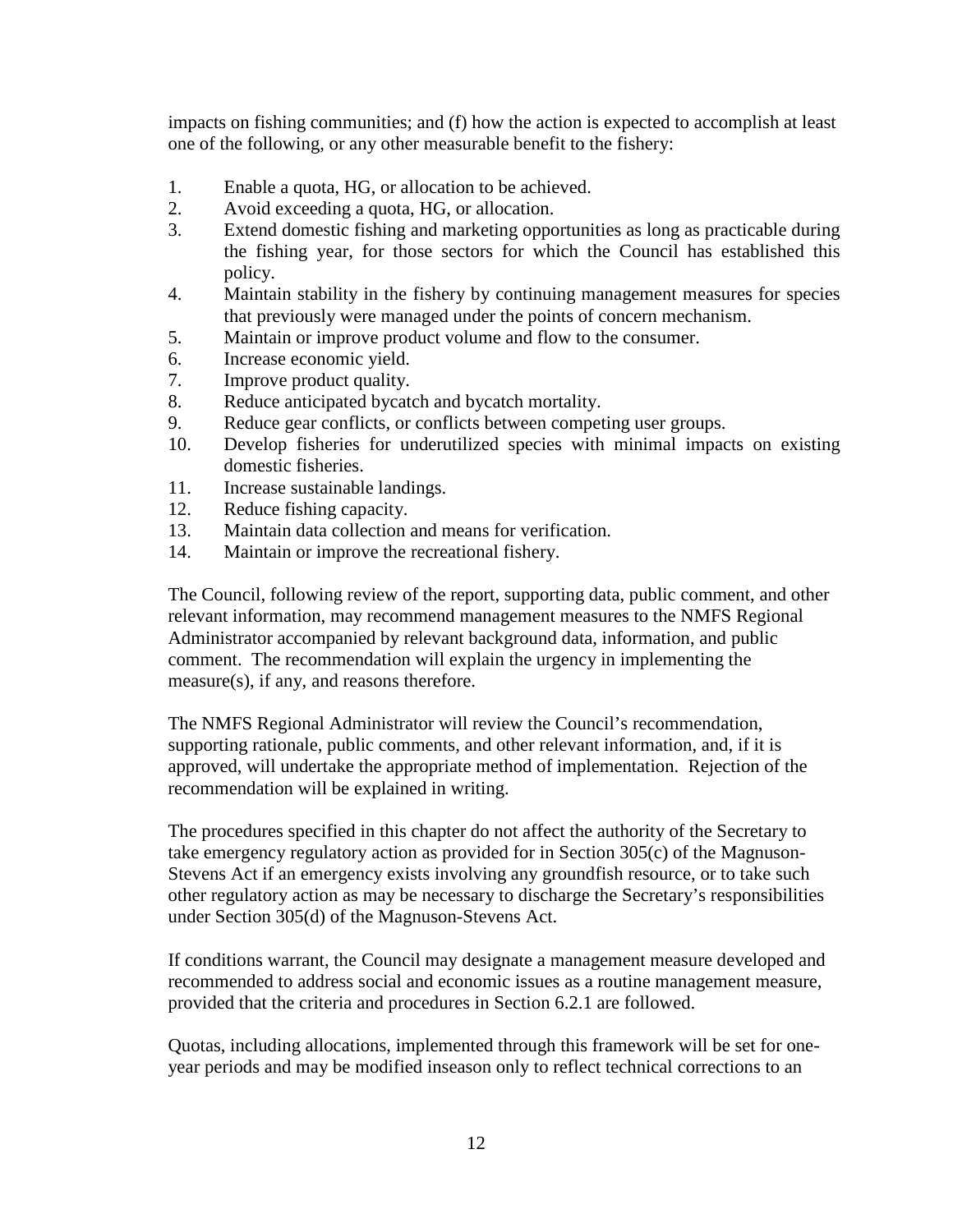impacts on fishing communities; and (f) how the action is expected to accomplish at least one of the following, or any other measurable benefit to the fishery:

- 1. Enable a quota, HG, or allocation to be achieved.
- 2. Avoid exceeding a quota, HG, or allocation.
- 3. Extend domestic fishing and marketing opportunities as long as practicable during the fishing year, for those sectors for which the Council has established this policy.
- 4. Maintain stability in the fishery by continuing management measures for species that previously were managed under the points of concern mechanism.
- 5. Maintain or improve product volume and flow to the consumer.
- 6. Increase economic yield.
- 7. Improve product quality.
- 8. Reduce anticipated bycatch and bycatch mortality.
- 9. Reduce gear conflicts, or conflicts between competing user groups.
- 10. Develop fisheries for underutilized species with minimal impacts on existing domestic fisheries.
- 11. Increase sustainable landings.
- 12. Reduce fishing capacity.
- 13. Maintain data collection and means for verification.
- 14. Maintain or improve the recreational fishery.

The Council, following review of the report, supporting data, public comment, and other relevant information, may recommend management measures to the NMFS Regional Administrator accompanied by relevant background data, information, and public comment. The recommendation will explain the urgency in implementing the measure(s), if any, and reasons therefore.

The NMFS Regional Administrator will review the Council's recommendation, supporting rationale, public comments, and other relevant information, and, if it is approved, will undertake the appropriate method of implementation. Rejection of the recommendation will be explained in writing.

The procedures specified in this chapter do not affect the authority of the Secretary to take emergency regulatory action as provided for in Section 305(c) of the Magnuson-Stevens Act if an emergency exists involving any groundfish resource, or to take such other regulatory action as may be necessary to discharge the Secretary's responsibilities under Section 305(d) of the Magnuson-Stevens Act.

If conditions warrant, the Council may designate a management measure developed and recommended to address social and economic issues as a routine management measure, provided that the criteria and procedures in Section 6.2.1 are followed.

Quotas, including allocations, implemented through this framework will be set for oneyear periods and may be modified inseason only to reflect technical corrections to an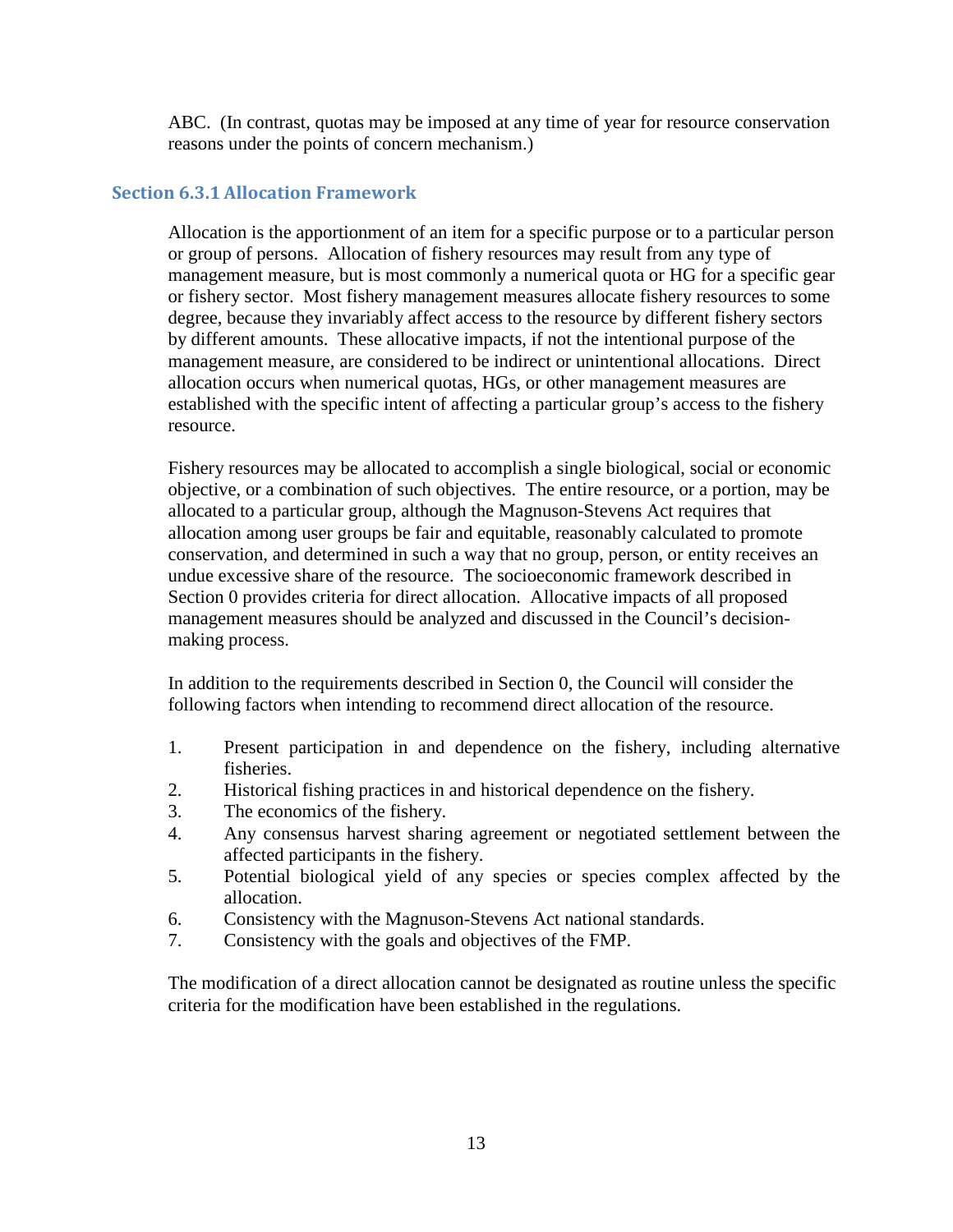ABC. (In contrast, quotas may be imposed at any time of year for resource conservation reasons under the points of concern mechanism.)

## <span id="page-12-0"></span>**Section 6.3.1 Allocation Framework**

Allocation is the apportionment of an item for a specific purpose or to a particular person or group of persons. Allocation of fishery resources may result from any type of management measure, but is most commonly a numerical quota or HG for a specific gear or fishery sector. Most fishery management measures allocate fishery resources to some degree, because they invariably affect access to the resource by different fishery sectors by different amounts. These allocative impacts, if not the intentional purpose of the management measure, are considered to be indirect or unintentional allocations. Direct allocation occurs when numerical quotas, HGs, or other management measures are established with the specific intent of affecting a particular group's access to the fishery resource.

Fishery resources may be allocated to accomplish a single biological, social or economic objective, or a combination of such objectives. The entire resource, or a portion, may be allocated to a particular group, although the Magnuson-Stevens Act requires that allocation among user groups be fair and equitable, reasonably calculated to promote conservation, and determined in such a way that no group, person, or entity receives an undue excessive share of the resource. The socioeconomic framework described in Section [0](#page-10-1) provides criteria for direct allocation. Allocative impacts of all proposed management measures should be analyzed and discussed in the Council's decisionmaking process.

In addition to the requirements described in Section [0,](#page-10-1) the Council will consider the following factors when intending to recommend direct allocation of the resource.

- 1. Present participation in and dependence on the fishery, including alternative fisheries.
- 2. Historical fishing practices in and historical dependence on the fishery.
- 3. The economics of the fishery.
- 4. Any consensus harvest sharing agreement or negotiated settlement between the affected participants in the fishery.
- 5. Potential biological yield of any species or species complex affected by the allocation.
- 6. Consistency with the Magnuson-Stevens Act national standards.
- 7. Consistency with the goals and objectives of the FMP.

The modification of a direct allocation cannot be designated as routine unless the specific criteria for the modification have been established in the regulations.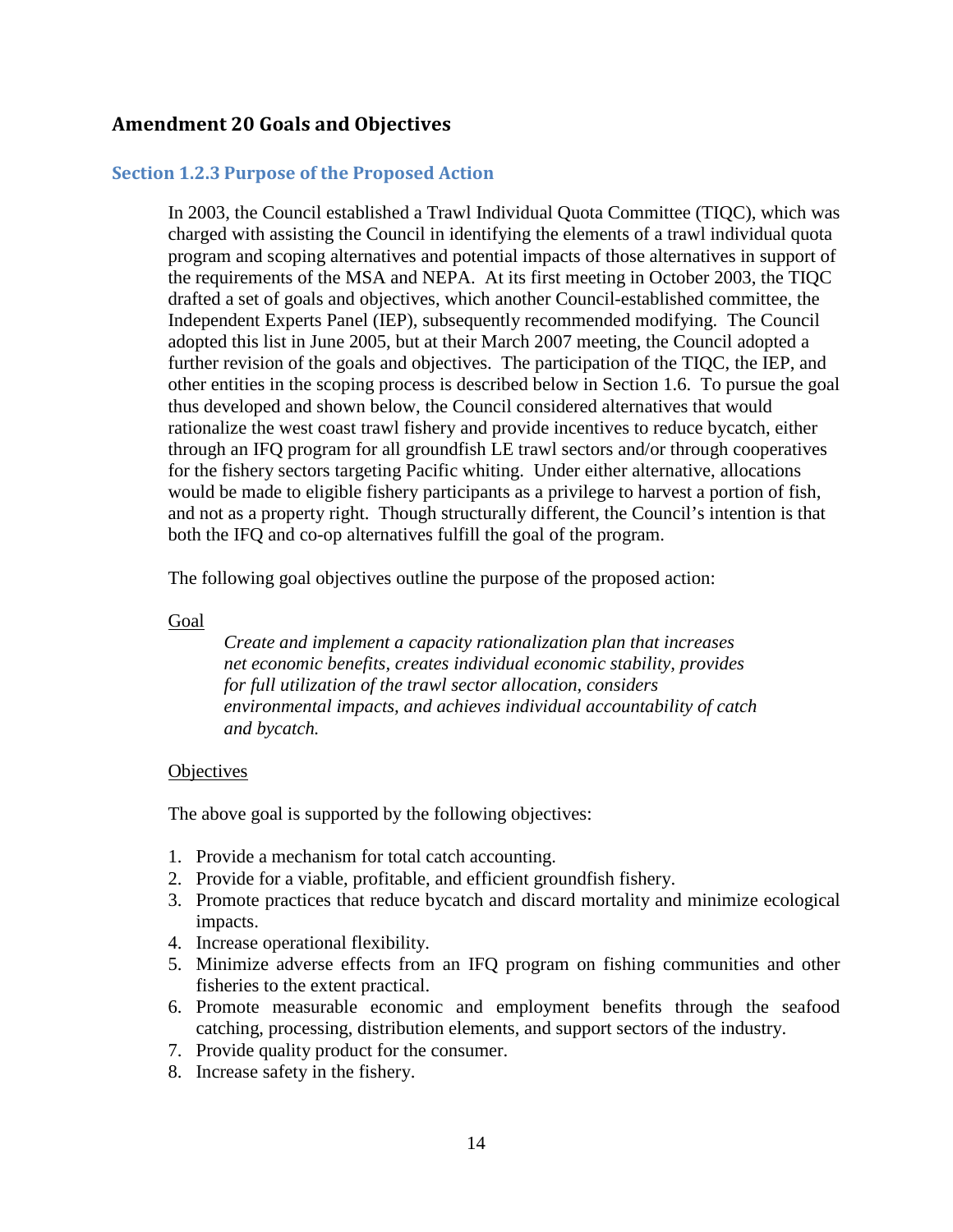## <span id="page-13-0"></span>**Amendment 20 Goals and Objectives**

### <span id="page-13-1"></span>**Section 1.2.3 Purpose of the Proposed Action**

In 2003, the Council established a Trawl Individual Quota Committee (TIQC), which was charged with assisting the Council in identifying the elements of a trawl individual quota program and scoping alternatives and potential impacts of those alternatives in support of the requirements of the MSA and NEPA. At its first meeting in October 2003, the TIQC drafted a set of goals and objectives, which another Council-established committee, the Independent Experts Panel (IEP), subsequently recommended modifying. The Council adopted this list in June 2005, but at their March 2007 meeting, the Council adopted a further revision of the goals and objectives. The participation of the TIQC, the IEP, and other entities in the scoping process is described below in Section 1.6. To pursue the goal thus developed and shown below, the Council considered alternatives that would rationalize the west coast trawl fishery and provide incentives to reduce bycatch, either through an IFQ program for all groundfish LE trawl sectors and/or through cooperatives for the fishery sectors targeting Pacific whiting. Under either alternative, allocations would be made to eligible fishery participants as a privilege to harvest a portion of fish, and not as a property right. Though structurally different, the Council's intention is that both the IFQ and co-op alternatives fulfill the goal of the program.

The following goal objectives outline the purpose of the proposed action:

#### Goal

*Create and implement a capacity rationalization plan that increases net economic benefits, creates individual economic stability, provides for full utilization of the trawl sector allocation, considers environmental impacts, and achieves individual accountability of catch and bycatch.*

#### **Objectives**

The above goal is supported by the following objectives:

- 1. Provide a mechanism for total catch accounting.
- 2. Provide for a viable, profitable, and efficient groundfish fishery.
- 3. Promote practices that reduce bycatch and discard mortality and minimize ecological impacts.
- 4. Increase operational flexibility.
- 5. Minimize adverse effects from an IFQ program on fishing communities and other fisheries to the extent practical.
- 6. Promote measurable economic and employment benefits through the seafood catching, processing, distribution elements, and support sectors of the industry.
- 7. Provide quality product for the consumer.
- 8. Increase safety in the fishery.